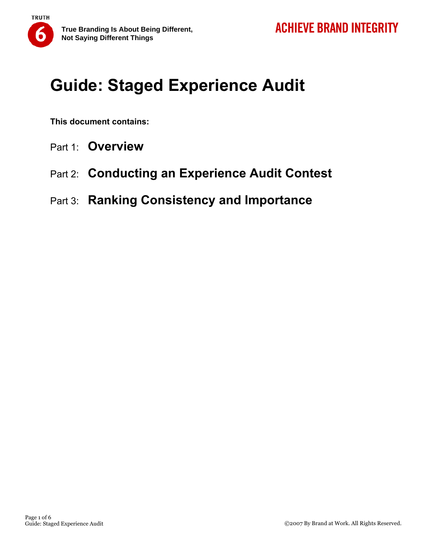# **Guide: Staged Experience Audit**

**This document contains:** 

**TRUTH** 

ō

- Part 1: **Overview**
- Part 2: **Conducting an Experience Audit Contest**
- Part 3: **Ranking Consistency and Importance**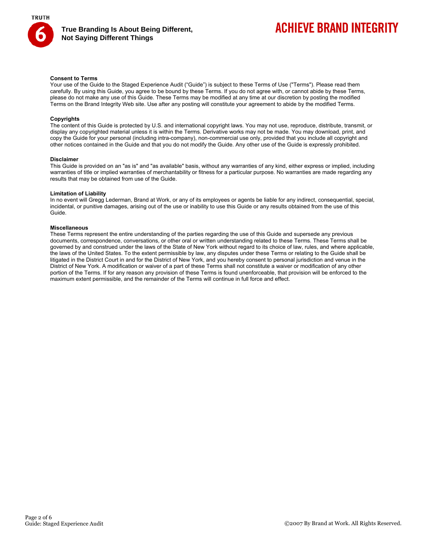

**True Branding Is About Being Different, Not Saying Different Things** 

## **ACHIEVE BRAND INTEGRITY**

### **Consent to Terms**

Your use of the Guide to the Staged Experience Audit ("Guide") is subject to these Terms of Use ("Terms"). Please read them carefully. By using this Guide, you agree to be bound by these Terms. If you do not agree with, or cannot abide by these Terms, please do not make any use of this Guide. These Terms may be modified at any time at our discretion by posting the modified Terms on the Brand Integrity Web site. Use after any posting will constitute your agreement to abide by the modified Terms.

#### **Copyrights**

The content of this Guide is protected by U.S. and international copyright laws. You may not use, reproduce, distribute, transmit, or display any copyrighted material unless it is within the Terms. Derivative works may not be made. You may download, print, and copy the Guide for your personal (including intra-company), non-commercial use only, provided that you include all copyright and other notices contained in the Guide and that you do not modify the Guide. Any other use of the Guide is expressly prohibited.

#### **Disclaimer**

This Guide is provided on an "as is" and "as available" basis, without any warranties of any kind, either express or implied, including warranties of title or implied warranties of merchantability or fitness for a particular purpose. No warranties are made regarding any results that may be obtained from use of the Guide.

#### **Limitation of Liability**

In no event will Gregg Lederman, Brand at Work, or any of its employees or agents be liable for any indirect, consequential, special, incidental, or punitive damages, arising out of the use or inability to use this Guide or any results obtained from the use of this Guide.

### **Miscellaneous**

These Terms represent the entire understanding of the parties regarding the use of this Guide and supersede any previous documents, correspondence, conversations, or other oral or written understanding related to these Terms. These Terms shall be governed by and construed under the laws of the State of New York without regard to its choice of law, rules, and where applicable, the laws of the United States. To the extent permissible by law, any disputes under these Terms or relating to the Guide shall be litigated in the District Court in and for the District of New York, and you hereby consent to personal jurisdiction and venue in the District of New York. A modification or waiver of a part of these Terms shall not constitute a waiver or modification of any other portion of the Terms. If for any reason any provision of these Terms is found unenforceable, that provision will be enforced to the maximum extent permissible, and the remainder of the Terms will continue in full force and effect.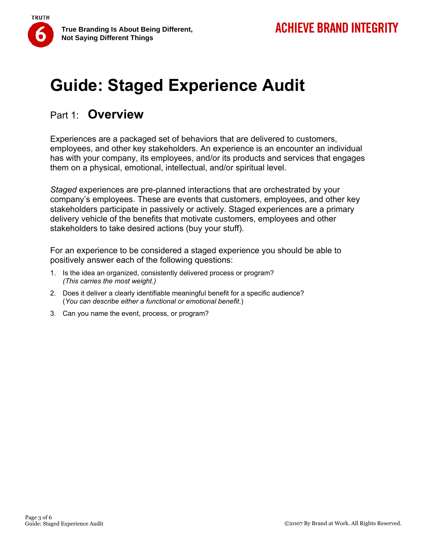

### Part 1: **Overview**

**TRUTH** 

Experiences are a packaged set of behaviors that are delivered to customers, employees, and other key stakeholders. An experience is an encounter an individual has with your company, its employees, and/or its products and services that engages them on a physical, emotional, intellectual, and/or spiritual level.

*Staged* experiences are pre-planned interactions that are orchestrated by your company's employees. These are events that customers, employees, and other key stakeholders participate in passively or actively. Staged experiences are a primary delivery vehicle of the benefits that motivate customers, employees and other stakeholders to take desired actions (buy your stuff).

For an experience to be considered a staged experience you should be able to positively answer each of the following questions:

- 1. Is the idea an organized, consistently delivered process or program? *(This carries the most weight.)*
- 2. Does it deliver a clearly identifiable meaningful benefit for a specific audience? (*You can describe either a functional or emotional benefit*.)
- 3. Can you name the event, process, or program?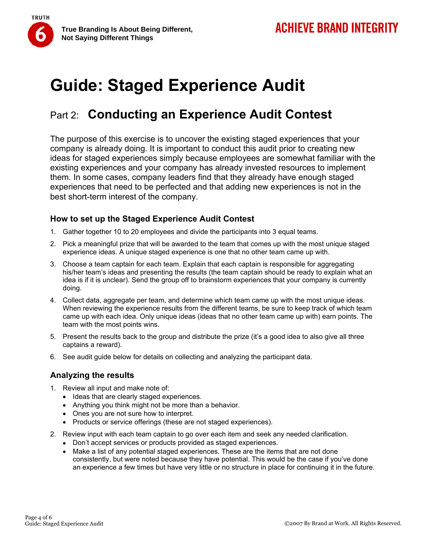

# **Guide: Staged Experience Audit**

## Part 2: **Conducting an Experience Audit Contest**

The purpose of this exercise is to uncover the existing staged experiences that your company is already doing. It is important to conduct this audit prior to creating new ideas for staged experiences simply because employees are somewhat familiar with the existing experiences and your company has already invested resources to implement them. In some cases, company leaders find that they already have enough staged experiences that need to be perfected and that adding new experiences is not in the best short-term interest of the company.

### **How to set up the Staged Experience Audit Contest**

- 1. Gather together 10 to 20 employees and divide the participants into 3 equal teams.
- 2. Pick a meaningful prize that will be awarded to the team that comes up with the most unique staged experience ideas. A unique staged experience is one that no other team came up with.
- 3. Choose a team captain for each team. Explain that each captain is responsible for aggregating his/her team's ideas and presenting the results (the team captain should be ready to explain what an idea is if it is unclear). Send the group off to brainstorm experiences that your company is currently doing.
- 4. Collect data, aggregate per team, and determine which team came up with the most unique ideas. When reviewing the experience results from the different teams, be sure to keep track of which team came up with each idea. Only unique ideas (ideas that no other team came up with) earn points. The team with the most points wins.
- 5. Present the results back to the group and distribute the prize (it's a good idea to also give all three captains a reward).
- 6. See audit guide below for details on collecting and analyzing the participant data.

### **Analyzing the results**

- 1. Review all input and make note of:
	- Ideas that are clearly staged experiences.
	- Anything you think might not be more than a behavior.
	- Ones you are not sure how to interpret.
	- Products or service offerings (these are not staged experiences).
- 2. Review input with each team captain to go over each item and seek any needed clarification.
	- Don't accept services or products provided as staged experiences.
	- Make a list of any potential staged experiences. These are the items that are not done consistently, but were noted because they have potential. This would be the case if you've done an experience a few times but have very little or no structure in place for continuing it in the future.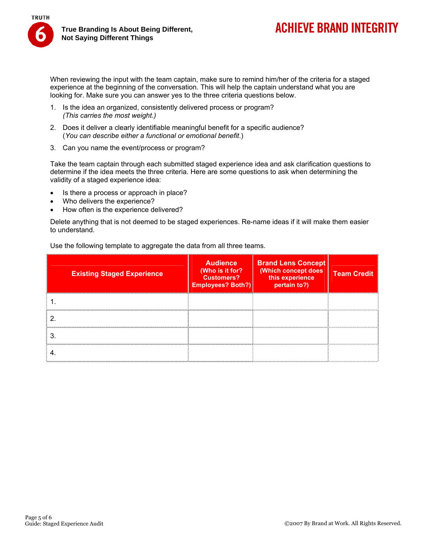

## **ACHIEVE BRAND INTEGRITY**

When reviewing the input with the team captain, make sure to remind him/her of the criteria for a staged experience at the beginning of the conversation. This will help the captain understand what you are looking for. Make sure you can answer yes to the three criteria questions below.

- 1. Is the idea an organized, consistently delivered process or program? *(This carries the most weight.)*
- 2. Does it deliver a clearly identifiable meaningful benefit for a specific audience? (*You can describe either a functional or emotional benefit*.)
- 3. Can you name the event/process or program?

Take the team captain through each submitted staged experience idea and ask clarification questions to determine if the idea meets the three criteria. Here are some questions to ask when determining the validity of a staged experience idea:

- Is there a process or approach in place?
- Who delivers the experience?
- How often is the experience delivered?

Delete anything that is not deemed to be staged experiences. Re-name ideas if it will make them easier to understand.

Use the following template to aggregate the data from all three teams.

| <b>Existing Staged Experience</b> | <b>Audience</b><br>(Who is it for?<br><b>Customers?</b><br>Employees? Both?) | <b>Brand Lens Concept</b><br>(Which concept does<br>this experience<br>pertain to?) | <b>Team Credit</b> |
|-----------------------------------|------------------------------------------------------------------------------|-------------------------------------------------------------------------------------|--------------------|
|                                   |                                                                              |                                                                                     |                    |
|                                   |                                                                              |                                                                                     |                    |
|                                   |                                                                              |                                                                                     |                    |
|                                   |                                                                              |                                                                                     |                    |